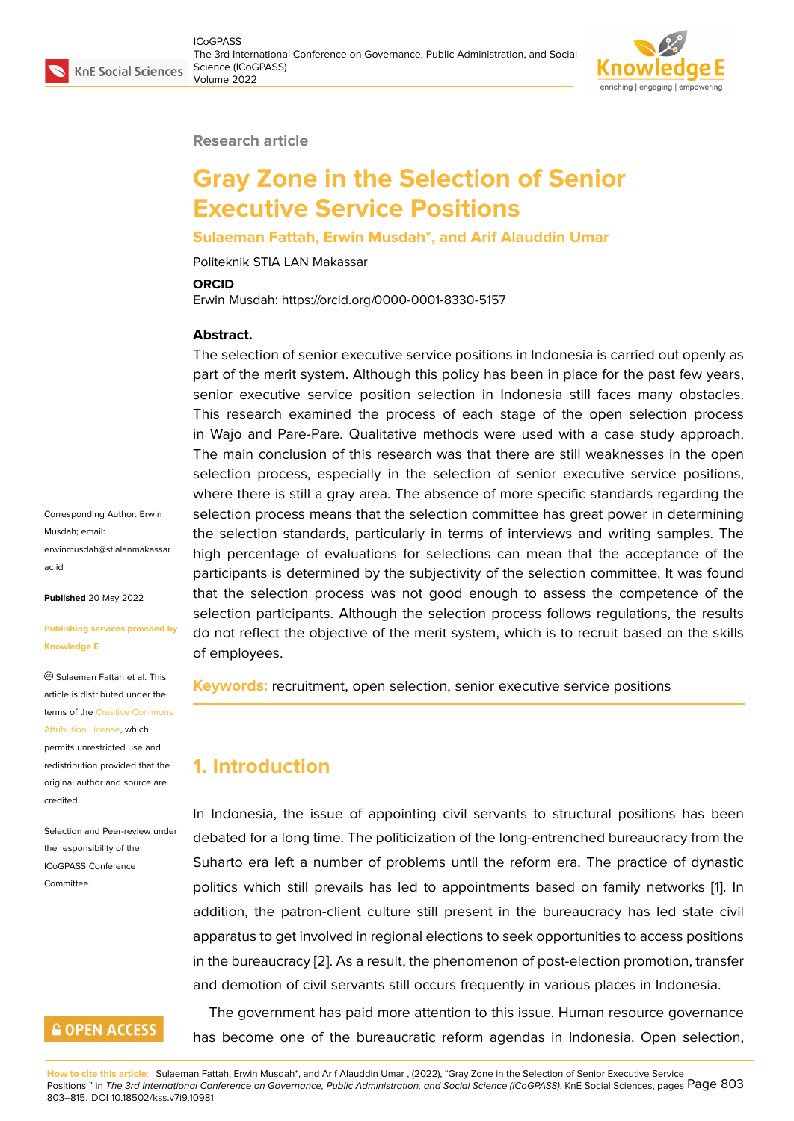

#### **Research article**

# **Gray Zone in the Selection of Senior Executive Service Positions**

#### **Sulaeman Fattah, Erwin Musdah\*, and Arif Alauddin Umar**

Politeknik STIA LAN Makassar

#### **ORCID**

Erwin Musdah: https://orcid.org/0000-0001-8330-5157

#### **Abstract.**

The selection of senior executive service positions in Indonesia is carried out openly as part of the merit system. Although this policy has been in place for the past few years, senior executive service position selection in Indonesia still faces many obstacles. This research examined the process of each stage of the open selection process in Wajo and Pare-Pare. Qualitative methods were used with a case study approach. The main conclusion of this research was that there are still weaknesses in the open selection process, especially in the selection of senior executive service positions, where there is still a gray area. The absence of more specific standards regarding the selection process means that the selection committee has great power in determining the selection standards, particularly in terms of interviews and writing samples. The high percentage of evaluations for selections can mean that the acceptance of the participants is determined by the subjectivity of the selection committee. It was found that the selection process was not good enough to assess the competence of the selection participants. Although the selection process follows regulations, the results do not reflect the objective of the merit system, which is to recruit based on the skills of employees.

**Keywords:** recruitment, open selection, senior executive service positions

# **1. Introduction**

In Indonesia, the issue of appointing civil servants to structural positions has been debated for a long time. The politicization of the long-entrenched bureaucracy from the Suharto era left a number of problems until the reform era. The practice of dynastic politics which still prevails has led to appointments based on family networks [1]. In addition, the patron-client culture still present in the bureaucracy has led state civil apparatus to get involved in regional elections to seek opportunities to access positions in the bureaucracy [2]. As a result, the phenomenon of post-election promotion, tra[n](#page-11-0)sfer and demotion of civil servants still occurs frequently in various places in Indonesia.

The government has paid more attention to this issue. Human resource governance has become one [of](#page-11-1) the bureaucratic reform agendas in Indonesia. Open selection,

Corresponding Author: Erwin Musdah; email: erwinmusdah@stialanmakassar. ac.id

**Published** 20 May 2022

#### **[Publi](mailto:erwinmusdah@stialanmakassar.ac.id)shing services provided by Knowledge E**

Sulaeman Fattah et al. This article is distributed under the terms of the Creative Commons Attribution License, which permits unrestricted use and redistribution provided that the original auth[or and source are](https://creativecommons.org/licenses/by/4.0/) [credited.](https://creativecommons.org/licenses/by/4.0/)

Selection and Peer-review under the responsibility of the ICoGPASS Conference **Committee** 

# **GOPEN ACCESS**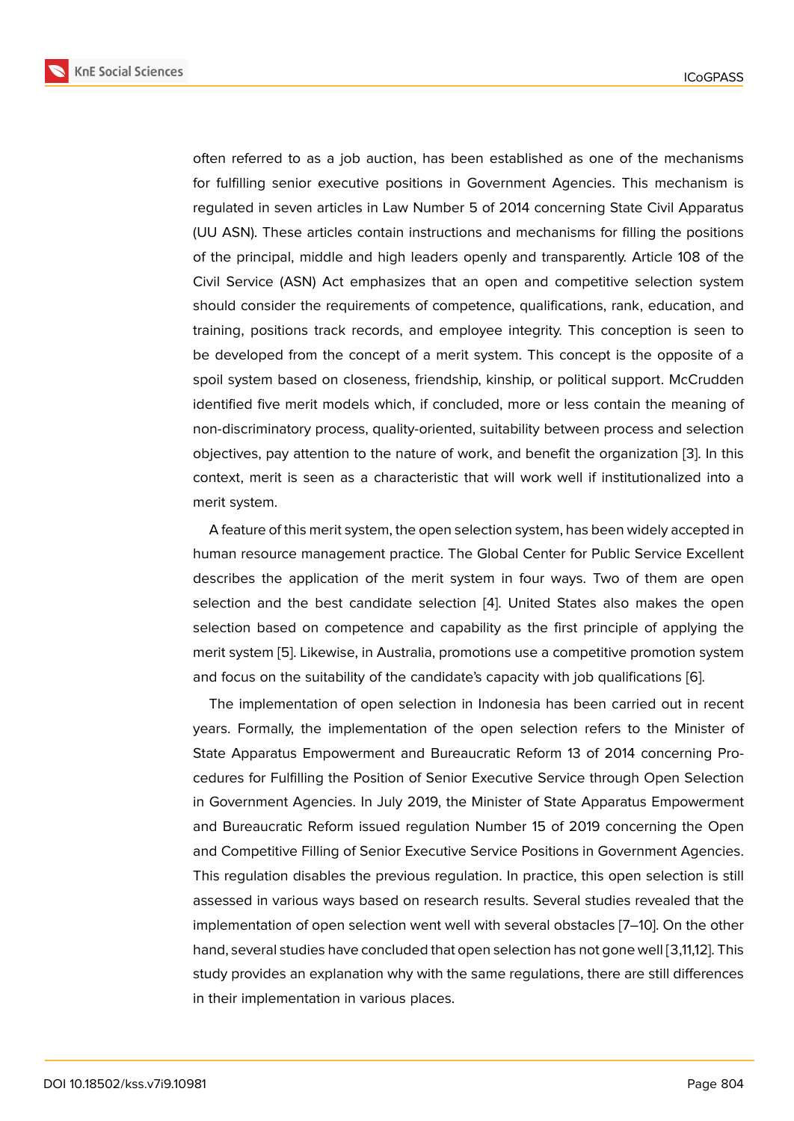often referred to as a job auction, has been established as one of the mechanisms for fulfilling senior executive positions in Government Agencies. This mechanism is regulated in seven articles in Law Number 5 of 2014 concerning State Civil Apparatus (UU ASN). These articles contain instructions and mechanisms for filling the positions of the principal, middle and high leaders openly and transparently. Article 108 of the Civil Service (ASN) Act emphasizes that an open and competitive selection system should consider the requirements of competence, qualifications, rank, education, and training, positions track records, and employee integrity. This conception is seen to be developed from the concept of a merit system. This concept is the opposite of a spoil system based on closeness, friendship, kinship, or political support. McCrudden identified five merit models which, if concluded, more or less contain the meaning of non-discriminatory process, quality-oriented, suitability between process and selection objectives, pay attention to the nature of work, and benefit the organization [3]. In this context, merit is seen as a characteristic that will work well if institutionalized into a merit system.

A feature of this merit system, the open selection system, has been widely ac[ce](#page-11-2)pted in human resource management practice. The Global Center for Public Service Excellent describes the application of the merit system in four ways. Two of them are open selection and the best candidate selection [4]. United States also makes the open selection based on competence and capability as the first principle of applying the merit system [5]. Likewise, in Australia, promotions use a competitive promotion system and focus on the suitability of the candidate's [ca](#page-11-3)pacity with job qualifications [6].

The implementation of open selection in Indonesia has been carried out in recent years. Forma[lly](#page-11-4), the implementation of the open selection refers to the Minister of State Apparatus Empowerment and Bureaucratic Reform 13 of 2014 concer[nin](#page-11-5)g Procedures for Fulfilling the Position of Senior Executive Service through Open Selection in Government Agencies. In July 2019, the Minister of State Apparatus Empowerment and Bureaucratic Reform issued regulation Number 15 of 2019 concerning the Open and Competitive Filling of Senior Executive Service Positions in Government Agencies. This regulation disables the previous regulation. In practice, this open selection is still assessed in various ways based on research results. Several studies revealed that the implementation of open selection went well with several obstacles [7–10]. On the other hand, several studies have concluded that open selection has not gone well [3,11,12]. This study provides an explanation why with the same regulations, there are still differences in their implementation in various places.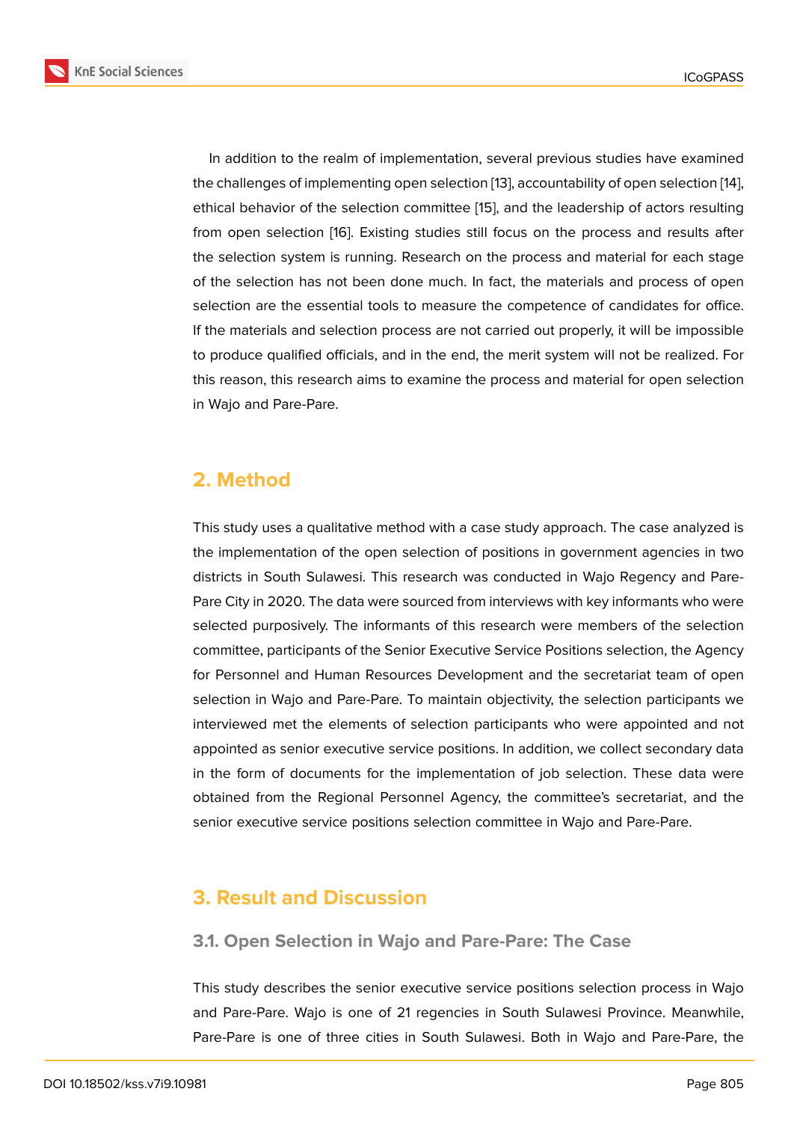In addition to the realm of implementation, several previous studies have examined the challenges of implementing open selection [13], accountability of open selection [14], ethical behavior of the selection committee [15], and the leadership of actors resulting from open selection [16]. Existing studies still focus on the process and results after the selection system is running. Research on t[he](#page-12-0) process and material for each st[age](#page-12-1) of the selection has not been done much. I[n fa](#page-12-2)ct, the materials and process of open selection are the ess[ent](#page-12-3)ial tools to measure the competence of candidates for office. If the materials and selection process are not carried out properly, it will be impossible to produce qualified officials, and in the end, the merit system will not be realized. For this reason, this research aims to examine the process and material for open selection in Wajo and Pare-Pare.

# **2. Method**

This study uses a qualitative method with a case study approach. The case analyzed is the implementation of the open selection of positions in government agencies in two districts in South Sulawesi. This research was conducted in Wajo Regency and Pare-Pare City in 2020. The data were sourced from interviews with key informants who were selected purposively. The informants of this research were members of the selection committee, participants of the Senior Executive Service Positions selection, the Agency for Personnel and Human Resources Development and the secretariat team of open selection in Wajo and Pare-Pare. To maintain objectivity, the selection participants we interviewed met the elements of selection participants who were appointed and not appointed as senior executive service positions. In addition, we collect secondary data in the form of documents for the implementation of job selection. These data were obtained from the Regional Personnel Agency, the committee's secretariat, and the senior executive service positions selection committee in Wajo and Pare-Pare.

# **3. Result and Discussion**

### **3.1. Open Selection in Wajo and Pare-Pare: The Case**

This study describes the senior executive service positions selection process in Wajo and Pare-Pare. Wajo is one of 21 regencies in South Sulawesi Province. Meanwhile, Pare-Pare is one of three cities in South Sulawesi. Both in Wajo and Pare-Pare, the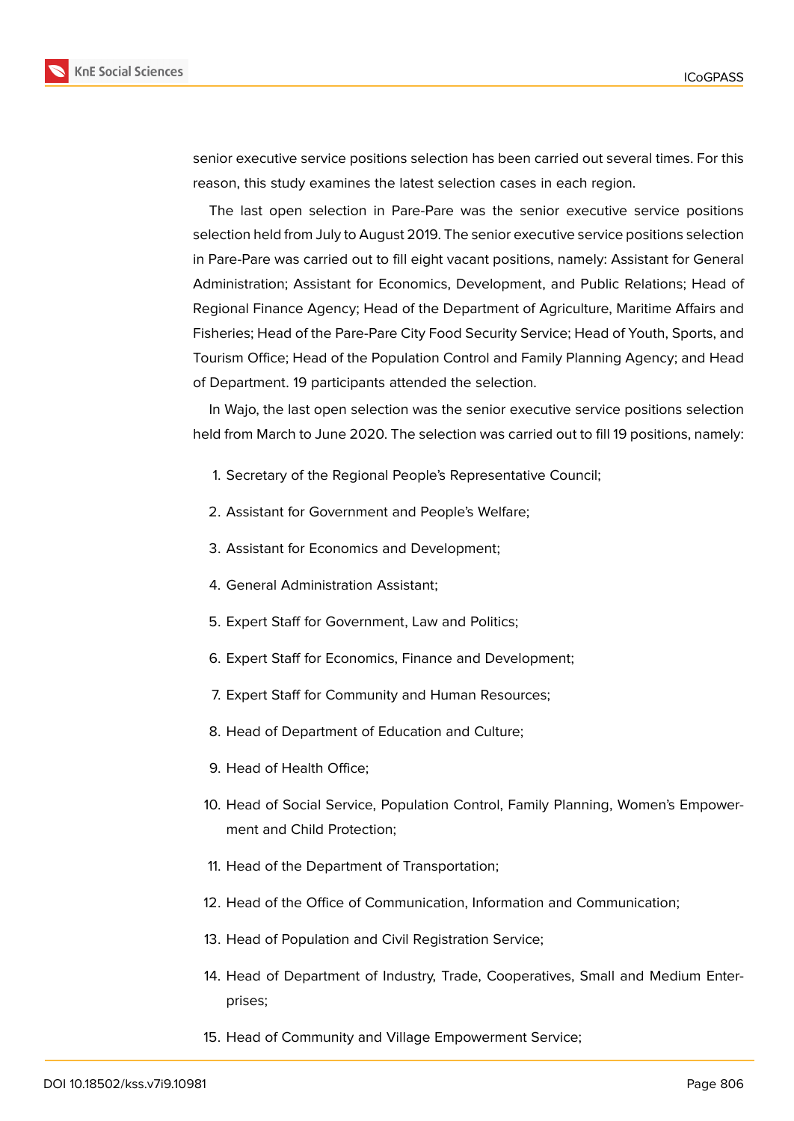

senior executive service positions selection has been carried out several times. For this reason, this study examines the latest selection cases in each region.

The last open selection in Pare-Pare was the senior executive service positions selection held from July to August 2019. The senior executive service positions selection in Pare-Pare was carried out to fill eight vacant positions, namely: Assistant for General Administration; Assistant for Economics, Development, and Public Relations; Head of Regional Finance Agency; Head of the Department of Agriculture, Maritime Affairs and Fisheries; Head of the Pare-Pare City Food Security Service; Head of Youth, Sports, and Tourism Office; Head of the Population Control and Family Planning Agency; and Head of Department. 19 participants attended the selection.

In Wajo, the last open selection was the senior executive service positions selection held from March to June 2020. The selection was carried out to fill 19 positions, namely:

- 1. Secretary of the Regional People's Representative Council;
- 2. Assistant for Government and People's Welfare;
- 3. Assistant for Economics and Development;
- 4. General Administration Assistant;
- 5. Expert Staff for Government, Law and Politics;
- 6. Expert Staff for Economics, Finance and Development;
- 7. Expert Staff for Community and Human Resources;
- 8. Head of Department of Education and Culture;
- 9. Head of Health Office;
- 10. Head of Social Service, Population Control, Family Planning, Women's Empowerment and Child Protection;
- 11. Head of the Department of Transportation;
- 12. Head of the Office of Communication, Information and Communication;
- 13. Head of Population and Civil Registration Service;
- 14. Head of Department of Industry, Trade, Cooperatives, Small and Medium Enterprises;
- 15. Head of Community and Village Empowerment Service;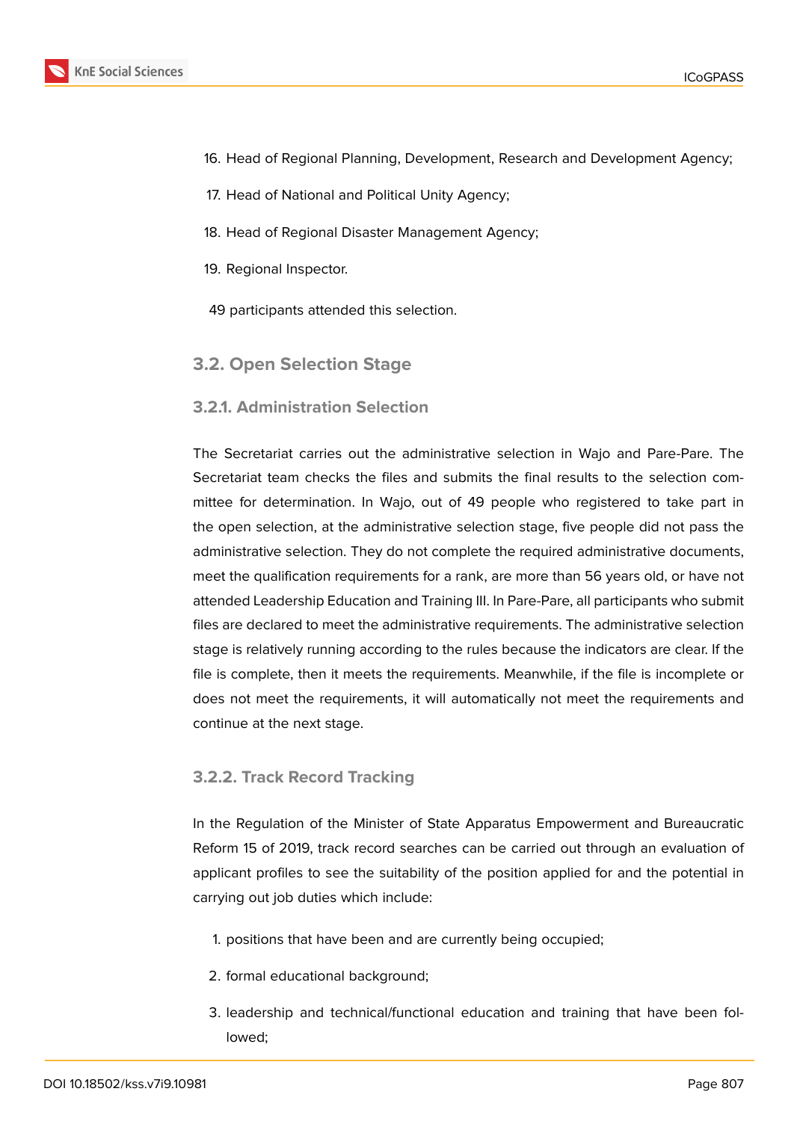- 16. Head of Regional Planning, Development, Research and Development Agency;
- 17. Head of National and Political Unity Agency;
- 18. Head of Regional Disaster Management Agency;
- 19. Regional Inspector.
- 49 participants attended this selection.
- **3.2. Open Selection Stage**

### **3.2.1. Administration Selection**

The Secretariat carries out the administrative selection in Wajo and Pare-Pare. The Secretariat team checks the files and submits the final results to the selection committee for determination. In Wajo, out of 49 people who registered to take part in the open selection, at the administrative selection stage, five people did not pass the administrative selection. They do not complete the required administrative documents, meet the qualification requirements for a rank, are more than 56 years old, or have not attended Leadership Education and Training III. In Pare-Pare, all participants who submit files are declared to meet the administrative requirements. The administrative selection stage is relatively running according to the rules because the indicators are clear. If the file is complete, then it meets the requirements. Meanwhile, if the file is incomplete or does not meet the requirements, it will automatically not meet the requirements and continue at the next stage.

### **3.2.2. Track Record Tracking**

In the Regulation of the Minister of State Apparatus Empowerment and Bureaucratic Reform 15 of 2019, track record searches can be carried out through an evaluation of applicant profiles to see the suitability of the position applied for and the potential in carrying out job duties which include:

- 1. positions that have been and are currently being occupied;
- 2. formal educational background;
- 3. leadership and technical/functional education and training that have been followed;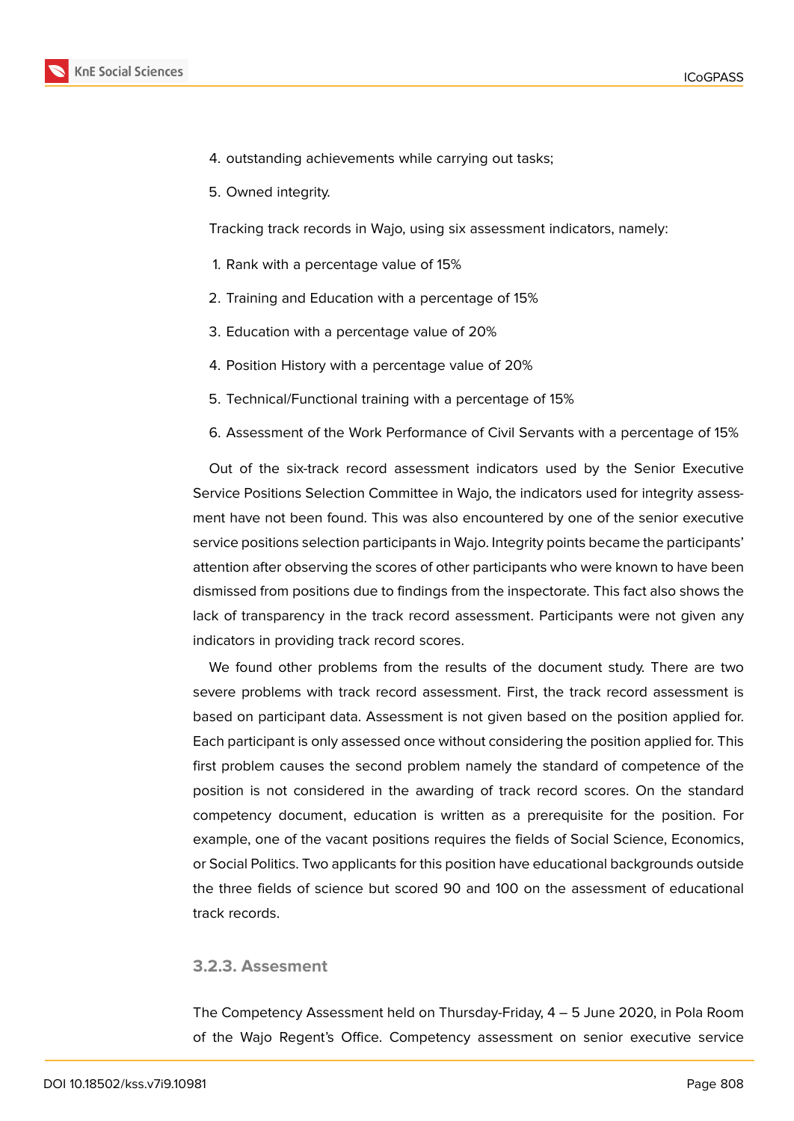

- 4. outstanding achievements while carrying out tasks;
- 5. Owned integrity.

Tracking track records in Wajo, using six assessment indicators, namely:

- 1. Rank with a percentage value of 15%
- 2. Training and Education with a percentage of 15%
- 3. Education with a percentage value of 20%
- 4. Position History with a percentage value of 20%
- 5. Technical/Functional training with a percentage of 15%
- 6. Assessment of the Work Performance of Civil Servants with a percentage of 15%

Out of the six-track record assessment indicators used by the Senior Executive Service Positions Selection Committee in Wajo, the indicators used for integrity assessment have not been found. This was also encountered by one of the senior executive service positions selection participants in Wajo. Integrity points became the participants' attention after observing the scores of other participants who were known to have been dismissed from positions due to findings from the inspectorate. This fact also shows the lack of transparency in the track record assessment. Participants were not given any indicators in providing track record scores.

We found other problems from the results of the document study. There are two severe problems with track record assessment. First, the track record assessment is based on participant data. Assessment is not given based on the position applied for. Each participant is only assessed once without considering the position applied for. This first problem causes the second problem namely the standard of competence of the position is not considered in the awarding of track record scores. On the standard competency document, education is written as a prerequisite for the position. For example, one of the vacant positions requires the fields of Social Science, Economics, or Social Politics. Two applicants for this position have educational backgrounds outside the three fields of science but scored 90 and 100 on the assessment of educational track records.

### **3.2.3. Assesment**

The Competency Assessment held on Thursday-Friday, 4 – 5 June 2020, in Pola Room of the Wajo Regent's Office. Competency assessment on senior executive service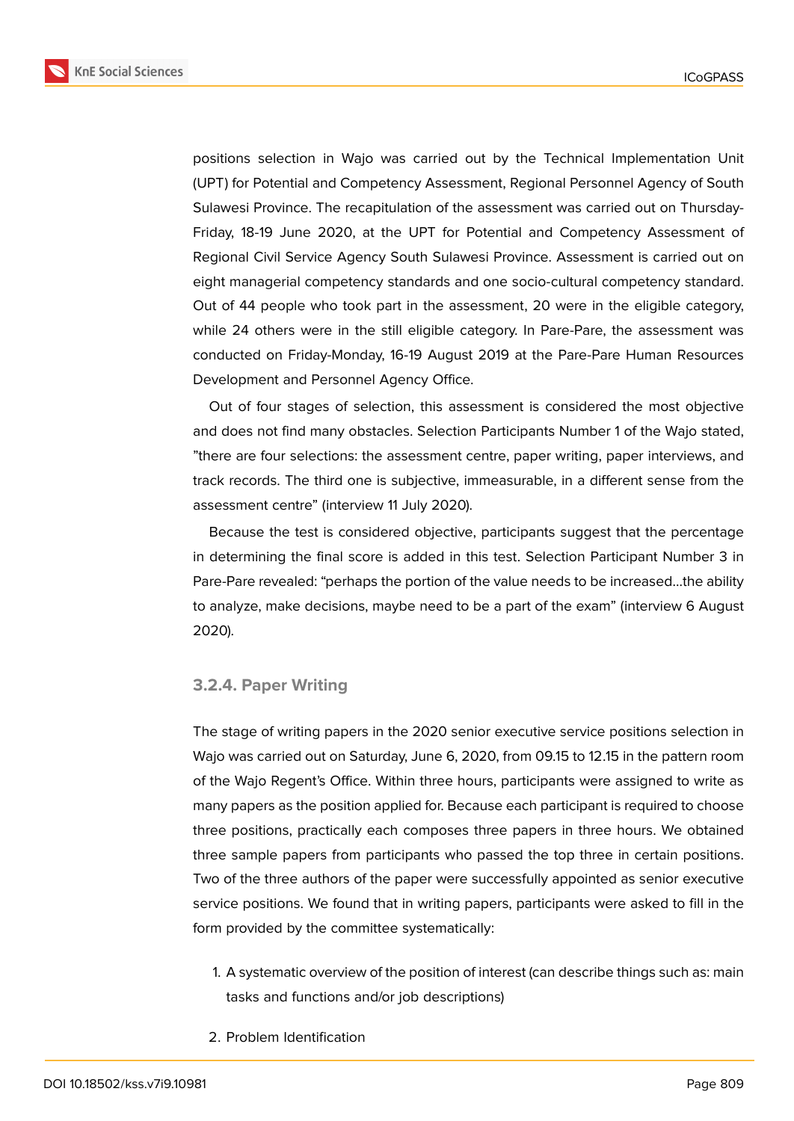**KnE Social Sciences** 



positions selection in Wajo was carried out by the Technical Implementation Unit (UPT) for Potential and Competency Assessment, Regional Personnel Agency of South Sulawesi Province. The recapitulation of the assessment was carried out on Thursday-Friday, 18-19 June 2020, at the UPT for Potential and Competency Assessment of Regional Civil Service Agency South Sulawesi Province. Assessment is carried out on eight managerial competency standards and one socio-cultural competency standard. Out of 44 people who took part in the assessment, 20 were in the eligible category, while 24 others were in the still eligible category. In Pare-Pare, the assessment was conducted on Friday-Monday, 16-19 August 2019 at the Pare-Pare Human Resources Development and Personnel Agency Office.

Out of four stages of selection, this assessment is considered the most objective and does not find many obstacles. Selection Participants Number 1 of the Wajo stated, "there are four selections: the assessment centre, paper writing, paper interviews, and track records. The third one is subjective, immeasurable, in a different sense from the assessment centre" (interview 11 July 2020).

Because the test is considered objective, participants suggest that the percentage in determining the final score is added in this test. Selection Participant Number 3 in Pare-Pare revealed: "perhaps the portion of the value needs to be increased…the ability to analyze, make decisions, maybe need to be a part of the exam" (interview 6 August 2020).

#### **3.2.4. Paper Writing**

The stage of writing papers in the 2020 senior executive service positions selection in Wajo was carried out on Saturday, June 6, 2020, from 09.15 to 12.15 in the pattern room of the Wajo Regent's Office. Within three hours, participants were assigned to write as many papers as the position applied for. Because each participant is required to choose three positions, practically each composes three papers in three hours. We obtained three sample papers from participants who passed the top three in certain positions. Two of the three authors of the paper were successfully appointed as senior executive service positions. We found that in writing papers, participants were asked to fill in the form provided by the committee systematically:

- 1. A systematic overview of the position of interest (can describe things such as: main tasks and functions and/or job descriptions)
- 2. Problem Identification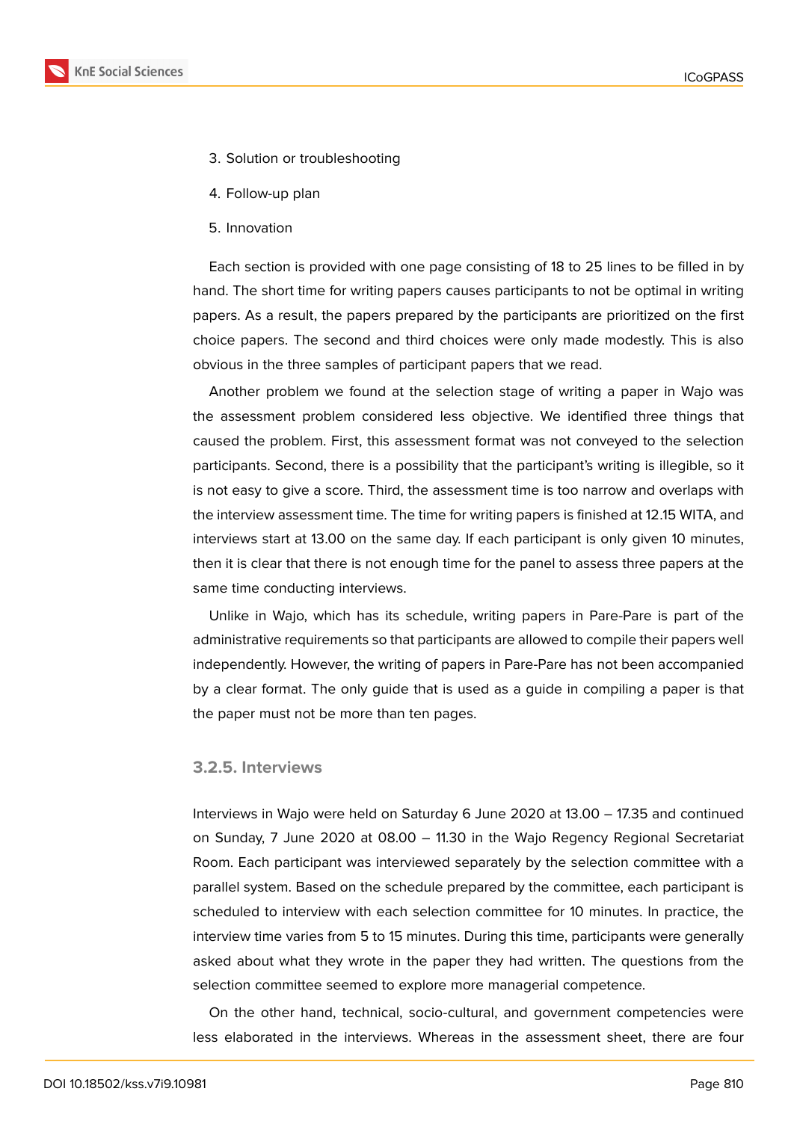

- 3. Solution or troubleshooting
- 4. Follow-up plan
- 5. Innovation

Each section is provided with one page consisting of 18 to 25 lines to be filled in by hand. The short time for writing papers causes participants to not be optimal in writing papers. As a result, the papers prepared by the participants are prioritized on the first choice papers. The second and third choices were only made modestly. This is also obvious in the three samples of participant papers that we read.

Another problem we found at the selection stage of writing a paper in Wajo was the assessment problem considered less objective. We identified three things that caused the problem. First, this assessment format was not conveyed to the selection participants. Second, there is a possibility that the participant's writing is illegible, so it is not easy to give a score. Third, the assessment time is too narrow and overlaps with the interview assessment time. The time for writing papers is finished at 12.15 WITA, and interviews start at 13.00 on the same day. If each participant is only given 10 minutes, then it is clear that there is not enough time for the panel to assess three papers at the same time conducting interviews.

Unlike in Wajo, which has its schedule, writing papers in Pare-Pare is part of the administrative requirements so that participants are allowed to compile their papers well independently. However, the writing of papers in Pare-Pare has not been accompanied by a clear format. The only guide that is used as a guide in compiling a paper is that the paper must not be more than ten pages.

### **3.2.5. Interviews**

Interviews in Wajo were held on Saturday 6 June 2020 at 13.00 – 17.35 and continued on Sunday, 7 June 2020 at 08.00 – 11.30 in the Wajo Regency Regional Secretariat Room. Each participant was interviewed separately by the selection committee with a parallel system. Based on the schedule prepared by the committee, each participant is scheduled to interview with each selection committee for 10 minutes. In practice, the interview time varies from 5 to 15 minutes. During this time, participants were generally asked about what they wrote in the paper they had written. The questions from the selection committee seemed to explore more managerial competence.

On the other hand, technical, socio-cultural, and government competencies were less elaborated in the interviews. Whereas in the assessment sheet, there are four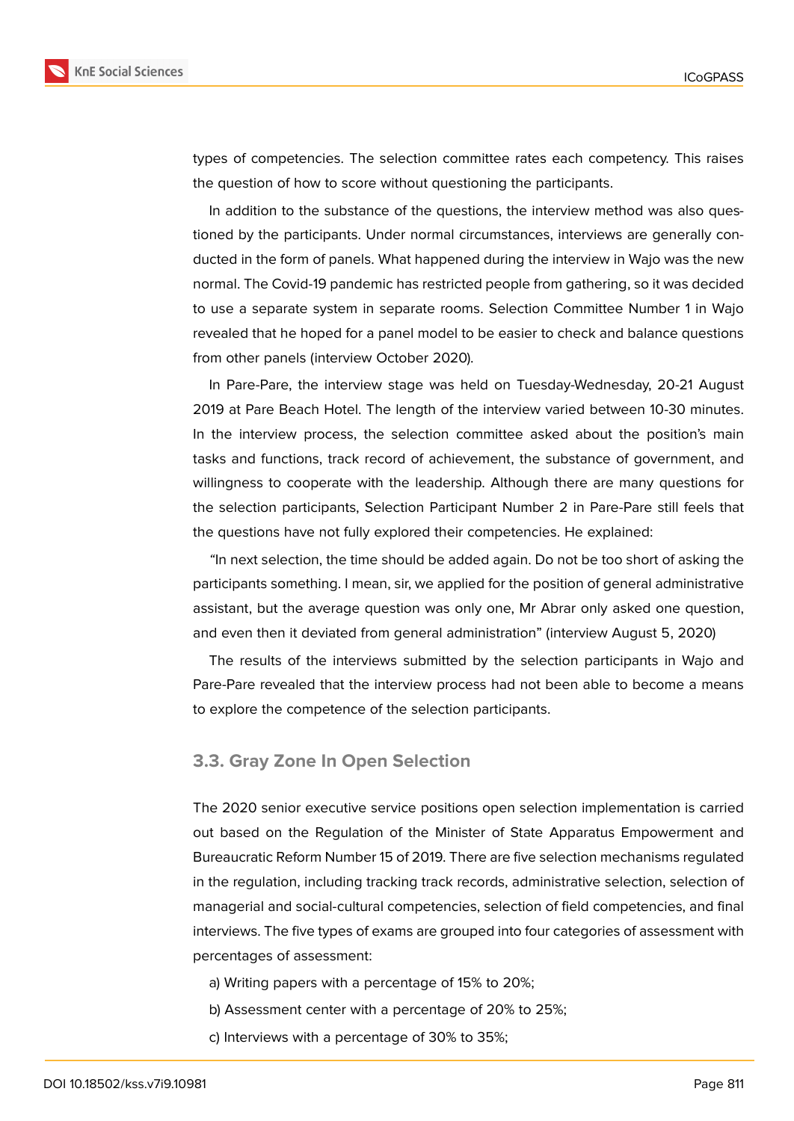

types of competencies. The selection committee rates each competency. This raises the question of how to score without questioning the participants.

In addition to the substance of the questions, the interview method was also questioned by the participants. Under normal circumstances, interviews are generally conducted in the form of panels. What happened during the interview in Wajo was the new normal. The Covid-19 pandemic has restricted people from gathering, so it was decided to use a separate system in separate rooms. Selection Committee Number 1 in Wajo revealed that he hoped for a panel model to be easier to check and balance questions from other panels (interview October 2020).

In Pare-Pare, the interview stage was held on Tuesday-Wednesday, 20-21 August 2019 at Pare Beach Hotel. The length of the interview varied between 10-30 minutes. In the interview process, the selection committee asked about the position's main tasks and functions, track record of achievement, the substance of government, and willingness to cooperate with the leadership. Although there are many questions for the selection participants, Selection Participant Number 2 in Pare-Pare still feels that the questions have not fully explored their competencies. He explained:

*"*In next selection, the time should be added again. Do not be too short of asking the participants something. I mean, sir, we applied for the position of general administrative assistant, but the average question was only one, Mr Abrar only asked one question, and even then it deviated from general administration" (interview August 5, 2020)

The results of the interviews submitted by the selection participants in Wajo and Pare-Pare revealed that the interview process had not been able to become a means to explore the competence of the selection participants.

### **3.3. Gray Zone In Open Selection**

The 2020 senior executive service positions open selection implementation is carried out based on the Regulation of the Minister of State Apparatus Empowerment and Bureaucratic Reform Number 15 of 2019. There are five selection mechanisms regulated in the regulation, including tracking track records, administrative selection, selection of managerial and social-cultural competencies, selection of field competencies, and final interviews. The five types of exams are grouped into four categories of assessment with percentages of assessment:

- a) Writing papers with a percentage of 15% to 20%;
- b) Assessment center with a percentage of 20% to 25%;
- c) Interviews with a percentage of 30% to 35%;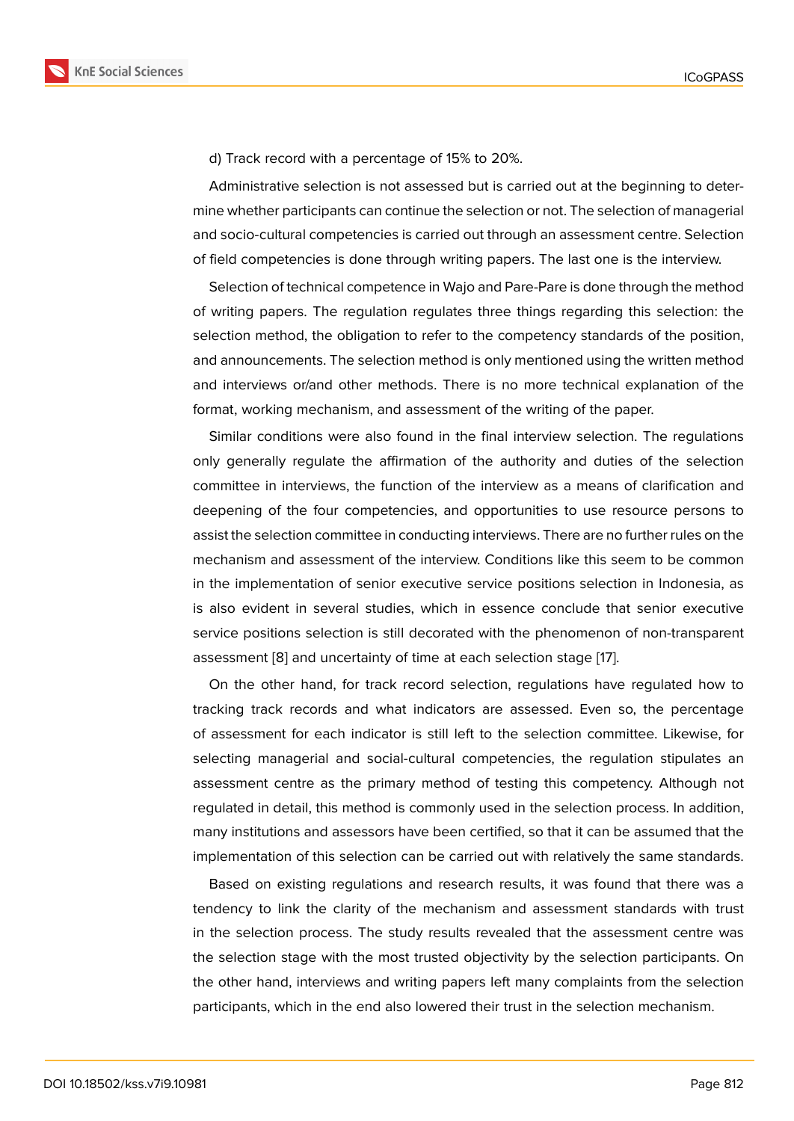d) Track record with a percentage of 15% to 20%.

Administrative selection is not assessed but is carried out at the beginning to determine whether participants can continue the selection or not. The selection of managerial and socio-cultural competencies is carried out through an assessment centre. Selection of field competencies is done through writing papers. The last one is the interview.

Selection of technical competence in Wajo and Pare-Pare is done through the method of writing papers. The regulation regulates three things regarding this selection: the selection method, the obligation to refer to the competency standards of the position, and announcements. The selection method is only mentioned using the written method and interviews or/and other methods. There is no more technical explanation of the format, working mechanism, and assessment of the writing of the paper.

Similar conditions were also found in the final interview selection. The regulations only generally regulate the affirmation of the authority and duties of the selection committee in interviews, the function of the interview as a means of clarification and deepening of the four competencies, and opportunities to use resource persons to assist the selection committee in conducting interviews. There are no further rules on the mechanism and assessment of the interview. Conditions like this seem to be common in the implementation of senior executive service positions selection in Indonesia, as is also evident in several studies, which in essence conclude that senior executive service positions selection is still decorated with the phenomenon of non-transparent assessment [8] and uncertainty of time at each selection stage [17].

On the other hand, for track record selection, regulations have regulated how to tracking track records and what indicators are assessed. Even so, the percentage of assessme[nt](#page-11-6) for each indicator is still left to the selection c[om](#page-12-4)mittee. Likewise, for selecting managerial and social-cultural competencies, the regulation stipulates an assessment centre as the primary method of testing this competency. Although not regulated in detail, this method is commonly used in the selection process. In addition, many institutions and assessors have been certified, so that it can be assumed that the implementation of this selection can be carried out with relatively the same standards.

Based on existing regulations and research results, it was found that there was a tendency to link the clarity of the mechanism and assessment standards with trust in the selection process. The study results revealed that the assessment centre was the selection stage with the most trusted objectivity by the selection participants. On the other hand, interviews and writing papers left many complaints from the selection participants, which in the end also lowered their trust in the selection mechanism.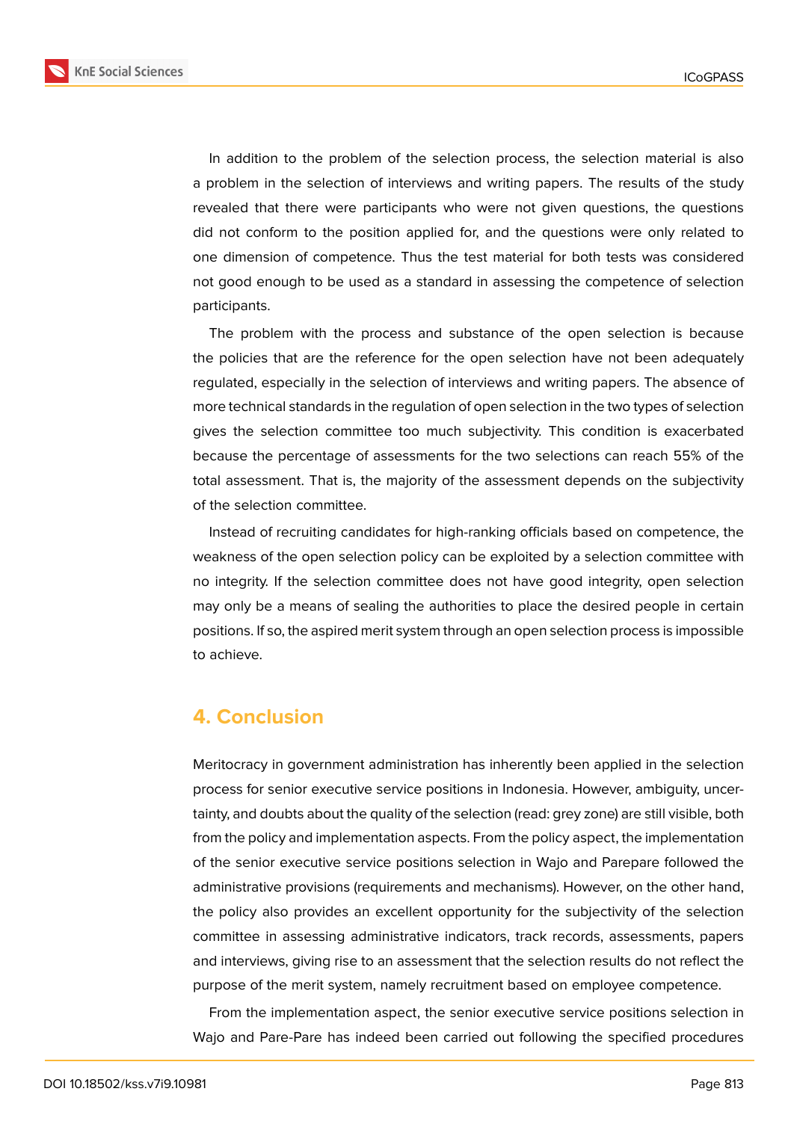**KnE Social Sciences** 

In addition to the problem of the selection process, the selection material is also a problem in the selection of interviews and writing papers. The results of the study revealed that there were participants who were not given questions, the questions did not conform to the position applied for, and the questions were only related to one dimension of competence. Thus the test material for both tests was considered not good enough to be used as a standard in assessing the competence of selection participants.

The problem with the process and substance of the open selection is because the policies that are the reference for the open selection have not been adequately regulated, especially in the selection of interviews and writing papers. The absence of more technical standards in the regulation of open selection in the two types of selection gives the selection committee too much subjectivity. This condition is exacerbated because the percentage of assessments for the two selections can reach 55% of the total assessment. That is, the majority of the assessment depends on the subjectivity of the selection committee.

Instead of recruiting candidates for high-ranking officials based on competence, the weakness of the open selection policy can be exploited by a selection committee with no integrity. If the selection committee does not have good integrity, open selection may only be a means of sealing the authorities to place the desired people in certain positions. If so, the aspired merit system through an open selection process is impossible to achieve.

# **4. Conclusion**

Meritocracy in government administration has inherently been applied in the selection process for senior executive service positions in Indonesia. However, ambiguity, uncertainty, and doubts about the quality of the selection (read: grey zone) are still visible, both from the policy and implementation aspects. From the policy aspect, the implementation of the senior executive service positions selection in Wajo and Parepare followed the administrative provisions (requirements and mechanisms). However, on the other hand, the policy also provides an excellent opportunity for the subjectivity of the selection committee in assessing administrative indicators, track records, assessments, papers and interviews, giving rise to an assessment that the selection results do not reflect the purpose of the merit system, namely recruitment based on employee competence.

From the implementation aspect, the senior executive service positions selection in Wajo and Pare-Pare has indeed been carried out following the specified procedures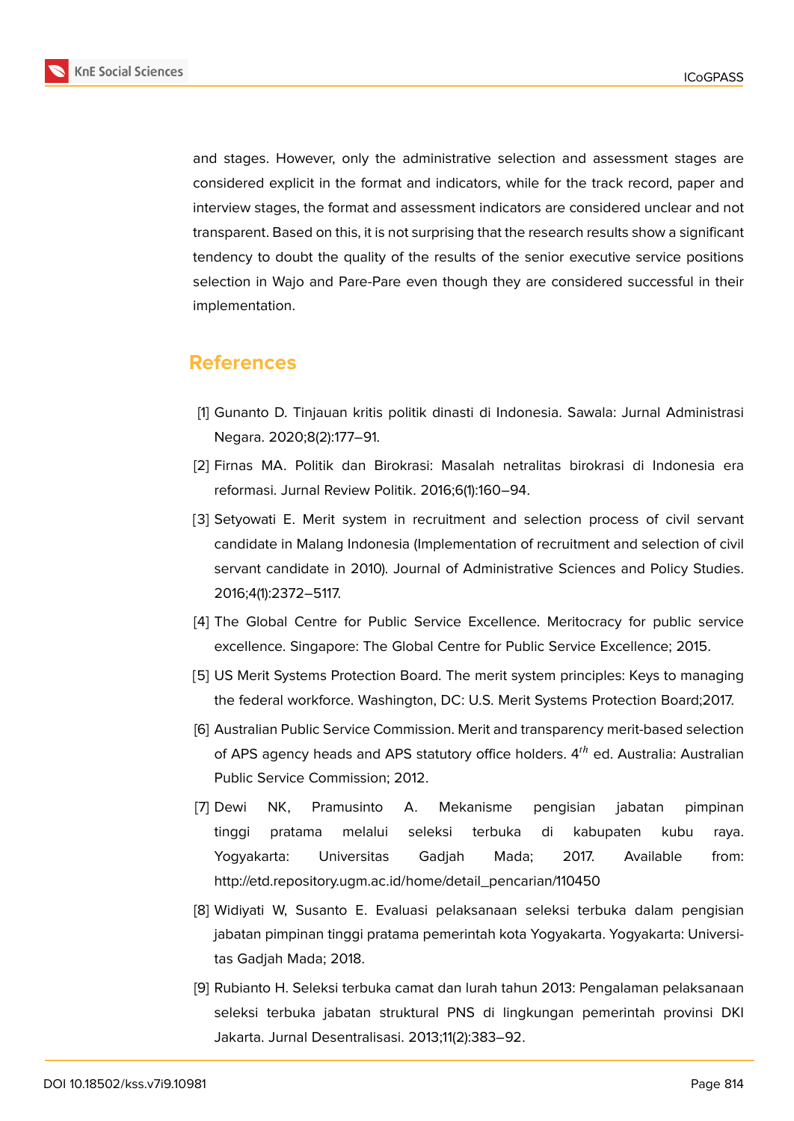

and stages. However, only the administrative selection and assessment stages are considered explicit in the format and indicators, while for the track record, paper and interview stages, the format and assessment indicators are considered unclear and not transparent. Based on this, it is not surprising that the research results show a significant tendency to doubt the quality of the results of the senior executive service positions selection in Wajo and Pare-Pare even though they are considered successful in their implementation.

# **References**

- <span id="page-11-0"></span>[1] Gunanto D. Tinjauan kritis politik dinasti di Indonesia. Sawala: Jurnal Administrasi Negara. 2020;8(2):177–91.
- <span id="page-11-1"></span>[2] Firnas MA. Politik dan Birokrasi: Masalah netralitas birokrasi di Indonesia era reformasi. Jurnal Review Politik. 2016;6(1):160–94.
- <span id="page-11-2"></span>[3] Setyowati E. Merit system in recruitment and selection process of civil servant candidate in Malang Indonesia (Implementation of recruitment and selection of civil servant candidate in 2010). Journal of Administrative Sciences and Policy Studies. 2016;4(1):2372–5117.
- <span id="page-11-3"></span>[4] The Global Centre for Public Service Excellence. Meritocracy for public service excellence. Singapore: The Global Centre for Public Service Excellence; 2015.
- <span id="page-11-4"></span>[5] US Merit Systems Protection Board. The merit system principles: Keys to managing the federal workforce. Washington, DC: U.S. Merit Systems Protection Board;2017.
- <span id="page-11-5"></span>[6] Australian Public Service Commission. Merit and transparency merit-based selection of APS agency heads and APS statutory office holders.  $4<sup>th</sup>$  ed. Australia: Australian Public Service Commission; 2012.
- [7] Dewi NK, Pramusinto A. Mekanisme pengisian jabatan pimpinan tinggi pratama melalui seleksi terbuka di kabupaten kubu raya. Yogyakarta: Universitas Gadjah Mada; 2017. Available from: http://etd.repository.ugm.ac.id/home/detail\_pencarian/110450
- <span id="page-11-6"></span>[8] Widiyati W, Susanto E. Evaluasi pelaksanaan seleksi terbuka dalam pengisian jabatan pimpinan tinggi pratama pemerintah kota Yogyakarta. Yogyakarta: Universitas Gadjah Mada; 2018.
- [9] Rubianto H. Seleksi terbuka camat dan lurah tahun 2013: Pengalaman pelaksanaan seleksi terbuka jabatan struktural PNS di lingkungan pemerintah provinsi DKI Jakarta. Jurnal Desentralisasi. 2013;11(2):383–92.